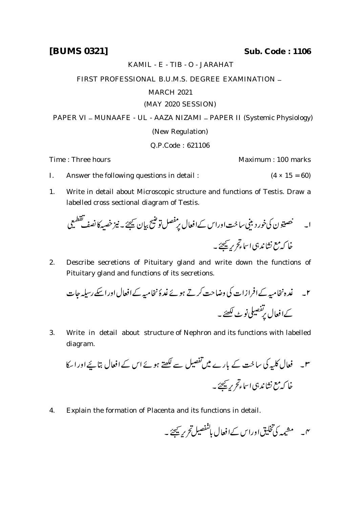## KAMIL - E - TIB - O - JARAHAT

## FIRST PROFESSIONAL B.U.M.S. DEGREE EXAMINATION \_

## MARCH 2021

## (MAY 2020 SESSION)

PAPER VI - MUNAAFE - UL - AAZA NIZAMI - PAPER II (Systemic Physiology) (New Regulation)

Q.P.Code : 621106

Time : Three hours Maximum : 100 marks

- I. Answer the following questions in detail :  $(4 \times 15 = 60)$
- 1. Write in detail about Microscopic structure and functions of Testis. Draw a labelled cross sectional diagram of Testis.

 

2. Describe secretions of Pituitary gland and write down the functions of Pituitary gland and functions of its secretions.

 

3. Write in detail about structure of Nephron and its functions with labelled diagram.

 

4. Explain the formation of Placenta and its functions in detail.